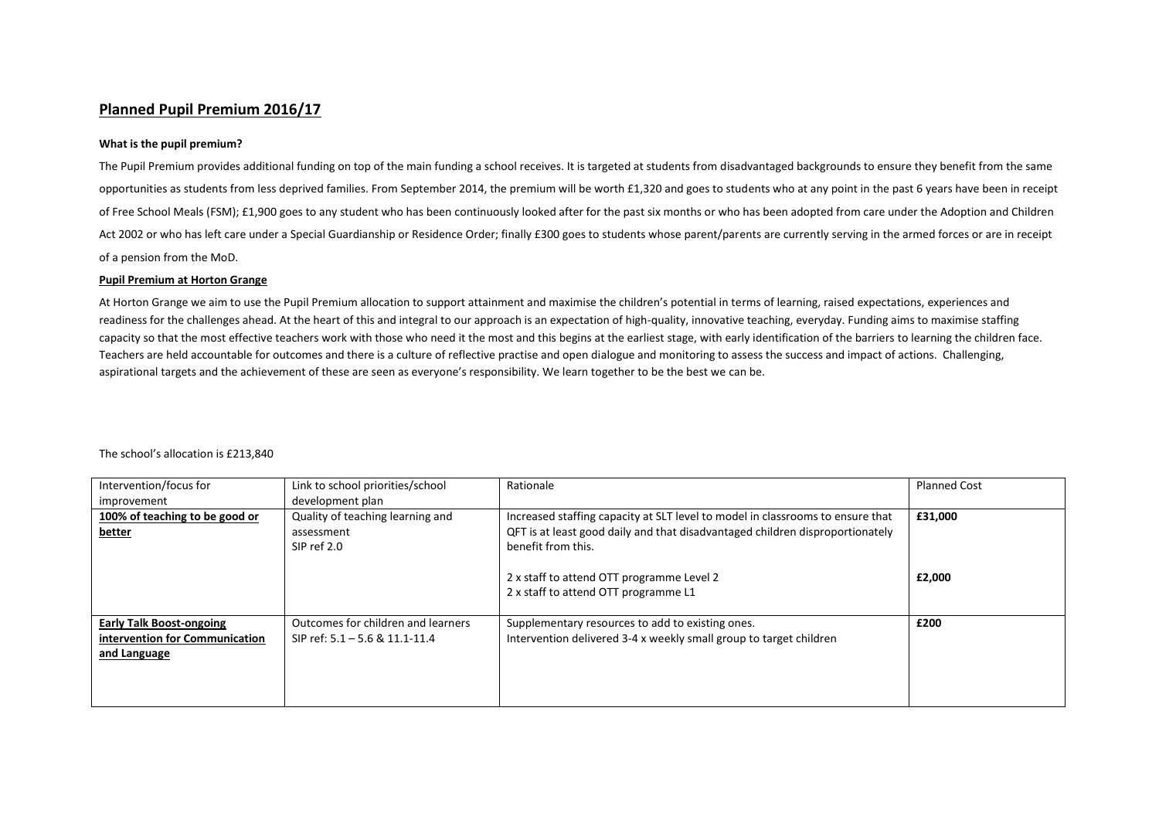## **Planned Pupil Premium 2016/17**

## **What is the pupil premium?**

The Pupil Premium provides additional funding on top of the main funding a school receives. It is targeted at students from disadvantaged backgrounds to ensure they benefit from the same opportunities as students from less deprived families. From September 2014, the premium will be worth £1,320 and goes to students who at any point in the past 6 years have been in receipt of Free School Meals (FSM); £1,900 goes to any student who has been continuously looked after for the past six months or who has been adopted from care under the Adoption and Children Act 2002 or who has left care under a Special Guardianship or Residence Order; finally £300 goes to students whose parent/parents are currently serving in the armed forces or are in receipt of a pension from the MoD.

## **Pupil Premium at Horton Grange**

At Horton Grange we aim to use the Pupil Premium allocation to support attainment and maximise the children's potential in terms of learning, raised expectations, experiences and readiness for the challenges ahead. At the heart of this and integral to our approach is an expectation of high-quality, innovative teaching, everyday. Funding aims to maximise staffing capacity so that the most effective teachers work with those who need it the most and this begins at the earliest stage, with early identification of the barriers to learning the children face. Teachers are held accountable for outcomes and there is a culture of reflective practise and open dialogue and monitoring to assess the success and impact of actions. Challenging, aspirational targets and the achievement of these are seen as everyone's responsibility. We learn together to be the best we can be.

The school's allocation is £213,840

| Intervention/focus for          | Link to school priorities/school   | Rationale                                                                      | <b>Planned Cost</b> |
|---------------------------------|------------------------------------|--------------------------------------------------------------------------------|---------------------|
| improvement                     | development plan                   |                                                                                |                     |
| 100% of teaching to be good or  | Quality of teaching learning and   | Increased staffing capacity at SLT level to model in classrooms to ensure that | £31,000             |
| better                          | assessment                         | QFT is at least good daily and that disadvantaged children disproportionately  |                     |
|                                 | SIP ref 2.0                        | benefit from this.                                                             |                     |
|                                 |                                    |                                                                                |                     |
|                                 |                                    | 2 x staff to attend OTT programme Level 2                                      | £2,000              |
|                                 |                                    | 2 x staff to attend OTT programme L1                                           |                     |
|                                 |                                    |                                                                                |                     |
| <b>Early Talk Boost-ongoing</b> | Outcomes for children and learners | Supplementary resources to add to existing ones.                               | £200                |
| intervention for Communication  | SIP ref: 5.1 - 5.6 & 11.1-11.4     | Intervention delivered 3-4 x weekly small group to target children             |                     |
| and Language                    |                                    |                                                                                |                     |
|                                 |                                    |                                                                                |                     |
|                                 |                                    |                                                                                |                     |
|                                 |                                    |                                                                                |                     |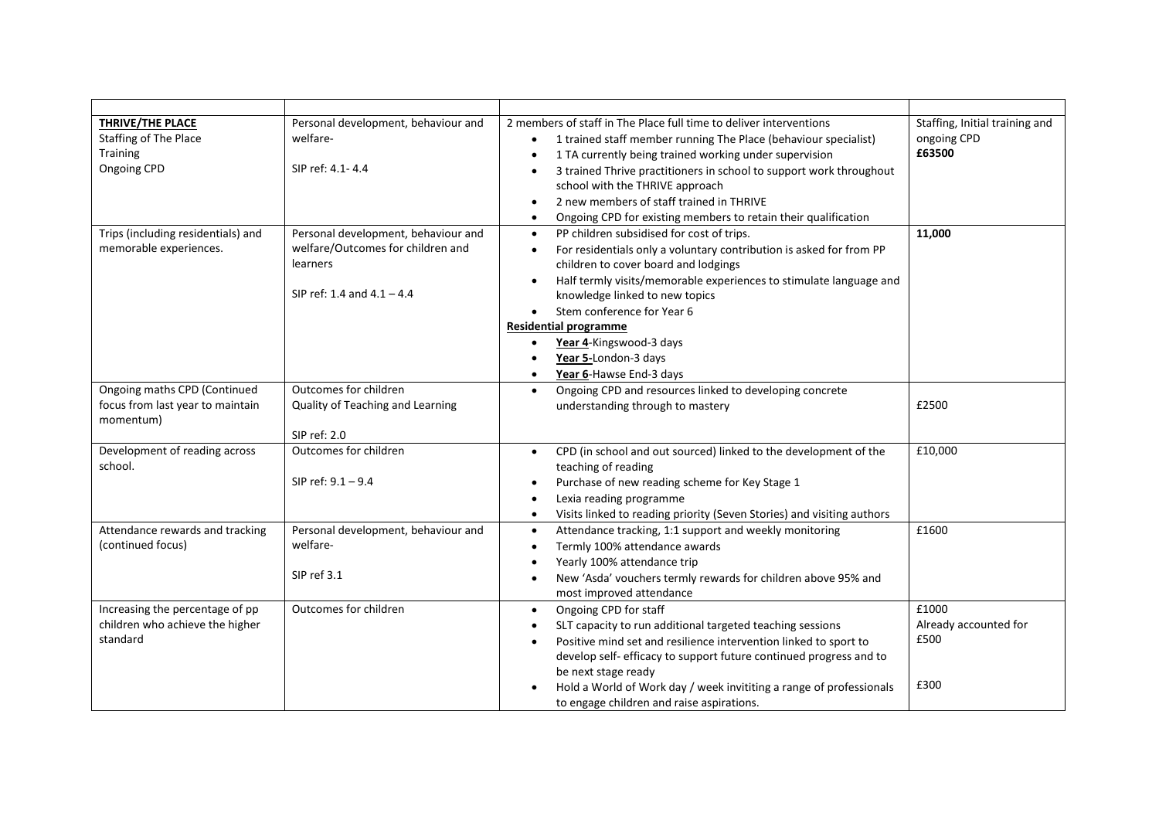| <b>THRIVE/THE PLACE</b><br>Staffing of The Place<br><b>Training</b><br>Ongoing CPD | Personal development, behaviour and<br>welfare-<br>SIP ref: 4.1-4.4                                                  | 2 members of staff in The Place full time to deliver interventions<br>1 trained staff member running The Place (behaviour specialist)<br>1 TA currently being trained working under supervision<br>3 trained Thrive practitioners in school to support work throughout<br>school with the THRIVE approach<br>2 new members of staff trained in THRIVE<br>$\bullet$<br>Ongoing CPD for existing members to retain their qualification<br>$\bullet$                             | Staffing, Initial training and<br>ongoing CPD<br>£63500 |
|------------------------------------------------------------------------------------|----------------------------------------------------------------------------------------------------------------------|-------------------------------------------------------------------------------------------------------------------------------------------------------------------------------------------------------------------------------------------------------------------------------------------------------------------------------------------------------------------------------------------------------------------------------------------------------------------------------|---------------------------------------------------------|
| Trips (including residentials) and<br>memorable experiences.                       | Personal development, behaviour and<br>welfare/Outcomes for children and<br>learners<br>SIP ref: 1.4 and $4.1 - 4.4$ | PP children subsidised for cost of trips.<br>$\bullet$<br>For residentials only a voluntary contribution is asked for from PP<br>$\bullet$<br>children to cover board and lodgings<br>Half termly visits/memorable experiences to stimulate language and<br>$\bullet$<br>knowledge linked to new topics<br>Stem conference for Year 6<br>$\bullet$<br><b>Residential programme</b><br>Year 4-Kingswood-3 days<br>Year 5-London-3 days<br>$\bullet$<br>Year 6-Hawse End-3 days | 11,000                                                  |
| Ongoing maths CPD (Continued<br>focus from last year to maintain<br>momentum)      | Outcomes for children<br>Quality of Teaching and Learning<br>SIP ref: 2.0                                            | Ongoing CPD and resources linked to developing concrete<br>$\bullet$<br>understanding through to mastery                                                                                                                                                                                                                                                                                                                                                                      | £2500                                                   |
| Development of reading across<br>school.                                           | Outcomes for children<br>SIP ref: 9.1 - 9.4                                                                          | CPD (in school and out sourced) linked to the development of the<br>$\bullet$<br>teaching of reading<br>Purchase of new reading scheme for Key Stage 1<br>$\bullet$<br>Lexia reading programme<br>Visits linked to reading priority (Seven Stories) and visiting authors<br>$\bullet$                                                                                                                                                                                         | £10,000                                                 |
| Attendance rewards and tracking<br>(continued focus)                               | Personal development, behaviour and<br>welfare-<br>SIP ref 3.1                                                       | Attendance tracking, 1:1 support and weekly monitoring<br>$\bullet$<br>Termly 100% attendance awards<br>$\bullet$<br>Yearly 100% attendance trip<br>New 'Asda' vouchers termly rewards for children above 95% and<br>$\bullet$<br>most improved attendance                                                                                                                                                                                                                    | £1600                                                   |
| Increasing the percentage of pp<br>children who achieve the higher<br>standard     | Outcomes for children                                                                                                | Ongoing CPD for staff<br>$\bullet$<br>SLT capacity to run additional targeted teaching sessions<br>Positive mind set and resilience intervention linked to sport to<br>develop self- efficacy to support future continued progress and to<br>be next stage ready<br>Hold a World of Work day / week invititing a range of professionals<br>to engage children and raise aspirations.                                                                                          | £1000<br>Already accounted for<br>£500<br>£300          |